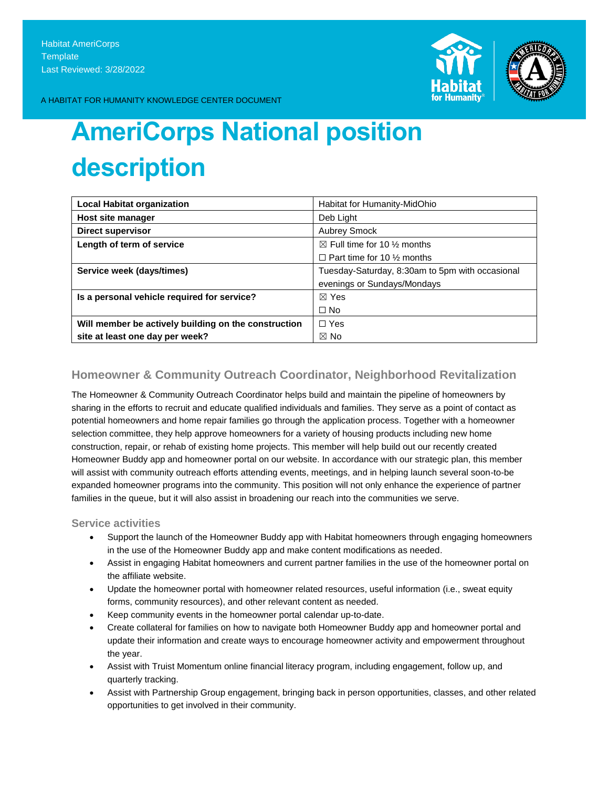

A HABITAT FOR HUMANITY KNOWLEDGE CENTER DOCUMENT

# **AmeriCorps National position description**

| <b>Local Habitat organization</b>                    | Habitat for Humanity-MidOhio                    |
|------------------------------------------------------|-------------------------------------------------|
| Host site manager                                    | Deb Light                                       |
| <b>Direct supervisor</b>                             | <b>Aubrey Smock</b>                             |
| Length of term of service                            | $\boxtimes$ Full time for 10 % months           |
|                                                      | $\Box$ Part time for 10 % months                |
| Service week (days/times)                            | Tuesday-Saturday, 8:30am to 5pm with occasional |
|                                                      | evenings or Sundays/Mondays                     |
| Is a personal vehicle required for service?          | $\boxtimes$ Yes                                 |
|                                                      | $\Box$ No                                       |
| Will member be actively building on the construction | $\Box$ Yes                                      |
| site at least one day per week?                      | $\boxtimes$ No                                  |

## **Homeowner & Community Outreach Coordinator, Neighborhood Revitalization**

The Homeowner & Community Outreach Coordinator helps build and maintain the pipeline of homeowners by sharing in the efforts to recruit and educate qualified individuals and families. They serve as a point of contact as potential homeowners and home repair families go through the application process. Together with a homeowner selection committee, they help approve homeowners for a variety of housing products including new home construction, repair, or rehab of existing home projects. This member will help build out our recently created Homeowner Buddy app and homeowner portal on our website. In accordance with our strategic plan, this member will assist with community outreach efforts attending events, meetings, and in helping launch several soon-to-be expanded homeowner programs into the community. This position will not only enhance the experience of partner families in the queue, but it will also assist in broadening our reach into the communities we serve.

## **Service activities**

- Support the launch of the Homeowner Buddy app with Habitat homeowners through engaging homeowners in the use of the Homeowner Buddy app and make content modifications as needed.
- Assist in engaging Habitat homeowners and current partner families in the use of the homeowner portal on the affiliate website.
- Update the homeowner portal with homeowner related resources, useful information (i.e., sweat equity forms, community resources), and other relevant content as needed.
- Keep community events in the homeowner portal calendar up-to-date.
- Create collateral for families on how to navigate both Homeowner Buddy app and homeowner portal and update their information and create ways to encourage homeowner activity and empowerment throughout the year.
- Assist with Truist Momentum online financial literacy program, including engagement, follow up, and quarterly tracking.
- Assist with Partnership Group engagement, bringing back in person opportunities, classes, and other related opportunities to get involved in their community.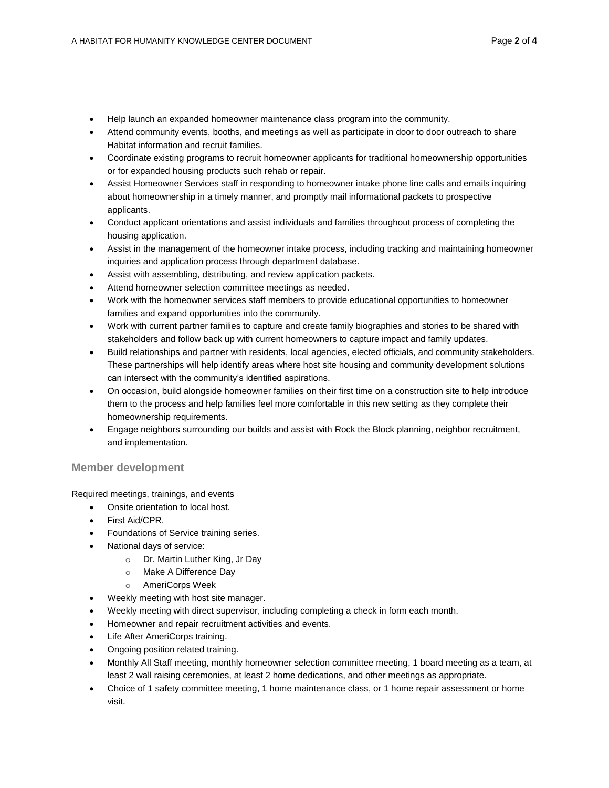- Help launch an expanded homeowner maintenance class program into the community.
- Attend community events, booths, and meetings as well as participate in door to door outreach to share Habitat information and recruit families.
- Coordinate existing programs to recruit homeowner applicants for traditional homeownership opportunities or for expanded housing products such rehab or repair.
- Assist Homeowner Services staff in responding to homeowner intake phone line calls and emails inquiring about homeownership in a timely manner, and promptly mail informational packets to prospective applicants.
- Conduct applicant orientations and assist individuals and families throughout process of completing the housing application.
- Assist in the management of the homeowner intake process, including tracking and maintaining homeowner inquiries and application process through department database.
- Assist with assembling, distributing, and review application packets.
- Attend homeowner selection committee meetings as needed.
- Work with the homeowner services staff members to provide educational opportunities to homeowner families and expand opportunities into the community.
- Work with current partner families to capture and create family biographies and stories to be shared with stakeholders and follow back up with current homeowners to capture impact and family updates.
- Build relationships and partner with residents, local agencies, elected officials, and community stakeholders. These partnerships will help identify areas where host site housing and community development solutions can intersect with the community's identified aspirations.
- On occasion, build alongside homeowner families on their first time on a construction site to help introduce them to the process and help families feel more comfortable in this new setting as they complete their homeownership requirements.
- Engage neighbors surrounding our builds and assist with Rock the Block planning, neighbor recruitment, and implementation.

## **Member development**

Required meetings, trainings, and events

- Onsite orientation to local host.
- First Aid/CPR.
- Foundations of Service training series.
- National days of service:
	- o Dr. Martin Luther King, Jr Day
	- o Make A Difference Day
	- o AmeriCorps Week
- Weekly meeting with host site manager.
- Weekly meeting with direct supervisor, including completing a check in form each month.
- Homeowner and repair recruitment activities and events.
- Life After AmeriCorps training.
- Ongoing position related training.
- Monthly All Staff meeting, monthly homeowner selection committee meeting, 1 board meeting as a team, at least 2 wall raising ceremonies, at least 2 home dedications, and other meetings as appropriate.
- Choice of 1 safety committee meeting, 1 home maintenance class, or 1 home repair assessment or home visit.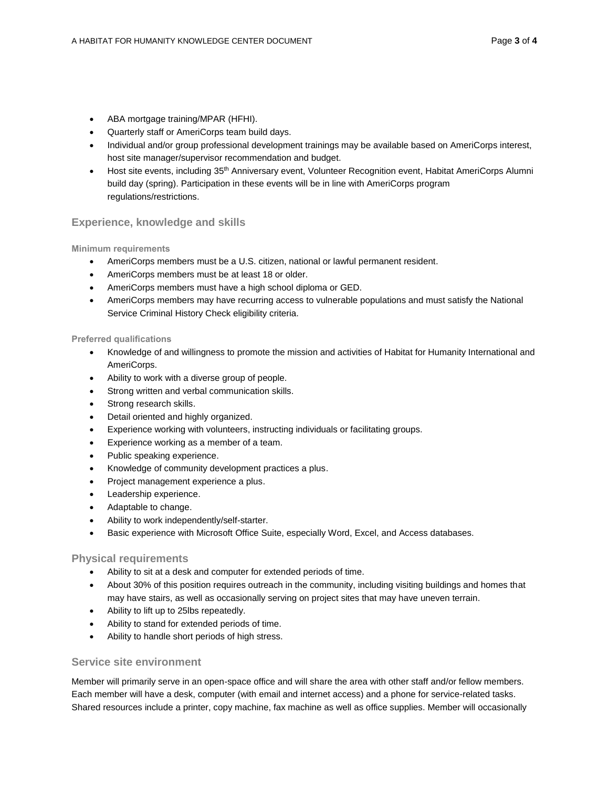- ABA mortgage training/MPAR (HFHI).
- Quarterly staff or AmeriCorps team build days.
- Individual and/or group professional development trainings may be available based on AmeriCorps interest, host site manager/supervisor recommendation and budget.
- Host site events, including 35<sup>th</sup> Anniversary event, Volunteer Recognition event, Habitat AmeriCorps Alumni build day (spring). Participation in these events will be in line with AmeriCorps program regulations/restrictions.

## **Experience, knowledge and skills**

#### **Minimum requirements**

- AmeriCorps members must be a U.S. citizen, national or lawful permanent resident.
- AmeriCorps members must be at least 18 or older.
- AmeriCorps members must have a high school diploma or GED.
- AmeriCorps members may have recurring access to vulnerable populations and must satisfy the National Service Criminal History Check eligibility criteria.

#### **Preferred qualifications**

- Knowledge of and willingness to promote the mission and activities of Habitat for Humanity International and AmeriCorps.
- Ability to work with a diverse group of people.
- Strong written and verbal communication skills.
- Strong research skills.
- Detail oriented and highly organized.
- Experience working with volunteers, instructing individuals or facilitating groups.
- **Experience working as a member of a team.**
- Public speaking experience.
- Knowledge of community development practices a plus.
- Project management experience a plus.
- Leadership experience.
- Adaptable to change.
- Ability to work independently/self-starter.
- Basic experience with Microsoft Office Suite, especially Word, Excel, and Access databases.

#### **Physical requirements**

- Ability to sit at a desk and computer for extended periods of time.
- About 30% of this position requires outreach in the community, including visiting buildings and homes that may have stairs, as well as occasionally serving on project sites that may have uneven terrain.
- Ability to lift up to 25lbs repeatedly.
- Ability to stand for extended periods of time.
- Ability to handle short periods of high stress.

### **Service site environment**

Member will primarily serve in an open-space office and will share the area with other staff and/or fellow members. Each member will have a desk, computer (with email and internet access) and a phone for service-related tasks. Shared resources include a printer, copy machine, fax machine as well as office supplies. Member will occasionally